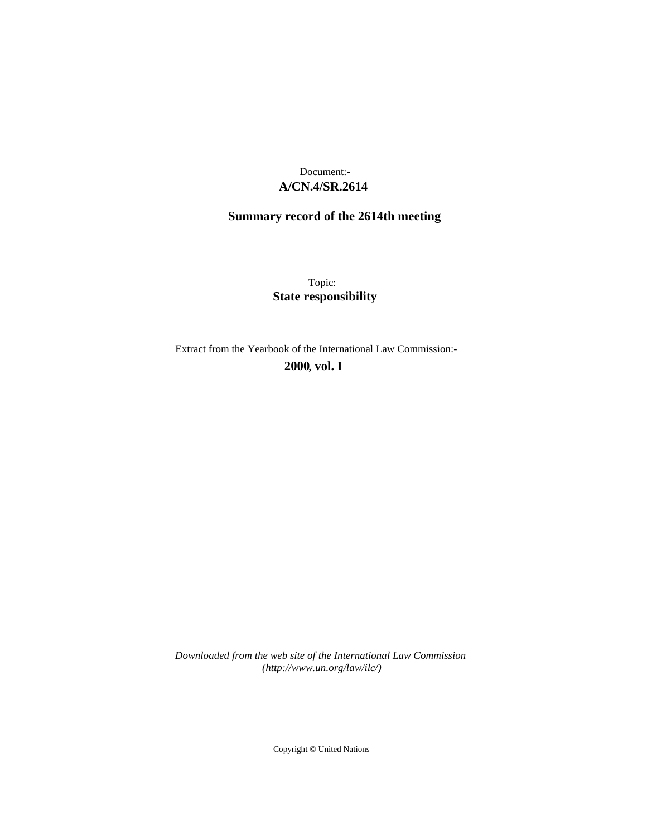## **A/CN.4/SR.2614** Document:-

# **Summary record of the 2614th meeting**

Topic: **State responsibility**

Extract from the Yearbook of the International Law Commission:-

**2000** , **vol. I**

*Downloaded from the web site of the International Law Commission (http://www.un.org/law/ilc/)*

Copyright © United Nations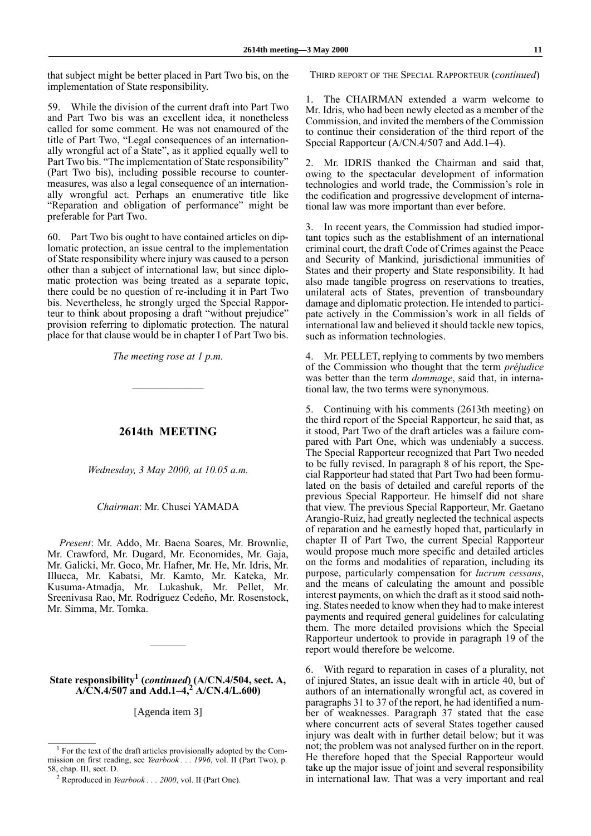that subject might be better placed in Part Two bis, on the implementation of State responsibility.

59. While the division of the current draft into Part Two and Part Two bis was an excellent idea, it nonetheless called for some comment. He was not enamoured of the title of Part Two, "Legal consequences of an internationally wrongful act of a State", as it applied equally well to Part Two bis. "The implementation of State responsibility" (Part Two bis), including possible recourse to countermeasures, was also a legal consequence of an internationally wrongful act. Perhaps an enumerative title like "Reparation and obligation of performance" might be preferable for Part Two.

60. Part Two bis ought to have contained articles on diplomatic protection, an issue central to the implementation of State responsibility where injury was caused to a person other than a subject of international law, but since diplomatic protection was being treated as a separate topic, there could be no question of re-including it in Part Two bis. Nevertheless, he strongly urged the Special Rapporteur to think about proposing a draft "without prejudice" provision referring to diplomatic protection. The natural place for that clause would be in chapter I of Part Two bis.

*The meeting rose at 1 p.m.*

—————————

#### **2614th MEETING**

*Wednesday, 3 May 2000, at 10.05 a.m.*

*Chairman*: Mr. Chusei YAMADA

*Present*: Mr. Addo, Mr. Baena Soares, Mr. Brownlie, Mr. Crawford, Mr. Dugard, Mr. Economides, Mr. Gaja, Mr. Galicki, Mr. Goco, Mr. Hafner, Mr. He, Mr. Idris, Mr. Illueca, Mr. Kabatsi, Mr. Kamto, Mr. Kateka, Mr. Kusuma-Atmadja, Mr. Lukashuk, Mr. Pellet, Mr. Sreenivasa Rao, Mr. Rodríguez Cedeño, Mr. Rosenstock, Mr. Simma, Mr. Tomka.

### State responsibility<sup>1</sup> (*continued*) (A/CN.4/504, sect. A, **A/CN.4/507 and Add.1–4,<sup>2</sup> A/CN.4/L.600)**

————–

[Agenda item 3]

THIRD REPORT OF THE SPECIAL RAPPORTEUR (*continued*)

The CHAIRMAN extended a warm welcome to Mr. Idris, who had been newly elected as a member of the Commission, and invited the members of the Commission to continue their consideration of the third report of the Special Rapporteur (A/CN.4/507 and Add.1–4).

2. Mr. IDRIS thanked the Chairman and said that, owing to the spectacular development of information technologies and world trade, the Commission's role in the codification and progressive development of international law was more important than ever before.

3. In recent years, the Commission had studied important topics such as the establishment of an international criminal court, the draft Code of Crimes against the Peace and Security of Mankind, jurisdictional immunities of States and their property and State responsibility. It had also made tangible progress on reservations to treaties, unilateral acts of States, prevention of transboundary damage and diplomatic protection. He intended to participate actively in the Commission's work in all fields of international law and believed it should tackle new topics, such as information technologies.

4. Mr. PELLET, replying to comments by two members of the Commission who thought that the term *préjudice* was better than the term *dommage*, said that, in international law, the two terms were synonymous.

5. Continuing with his comments (2613th meeting) on the third report of the Special Rapporteur, he said that, as it stood, Part Two of the draft articles was a failure compared with Part One, which was undeniably a success. The Special Rapporteur recognized that Part Two needed to be fully revised. In paragraph 8 of his report, the Special Rapporteur had stated that Part Two had been formulated on the basis of detailed and careful reports of the previous Special Rapporteur. He himself did not share that view. The previous Special Rapporteur, Mr. Gaetano Arangio-Ruiz, had greatly neglected the technical aspects of reparation and he earnestly hoped that, particularly in chapter II of Part Two, the current Special Rapporteur would propose much more specific and detailed articles on the forms and modalities of reparation, including its purpose, particularly compensation for *lucrum cessans*, and the means of calculating the amount and possible interest payments, on which the draft as it stood said nothing. States needed to know when they had to make interest payments and required general guidelines for calculating them. The more detailed provisions which the Special Rapporteur undertook to provide in paragraph 19 of the report would therefore be welcome.

6. With regard to reparation in cases of a plurality, not of injured States, an issue dealt with in article 40, but of authors of an internationally wrongful act, as covered in paragraphs 31 to 37 of the report, he had identified a number of weaknesses. Paragraph 37 stated that the case where concurrent acts of several States together caused injury was dealt with in further detail below; but it was not; the problem was not analysed further on in the report. He therefore hoped that the Special Rapporteur would take up the major issue of joint and several responsibility in international law. That was a very important and real

<sup>1</sup> For the text of the draft articles provisionally adopted by the Commission on first reading, see *Yearbook . . . 1996*, vol. II (Part Two), p. 58, chap. III, sect. D.

<sup>2</sup> Reproduced in *Yearbook . . . 2000*, vol. II (Part One).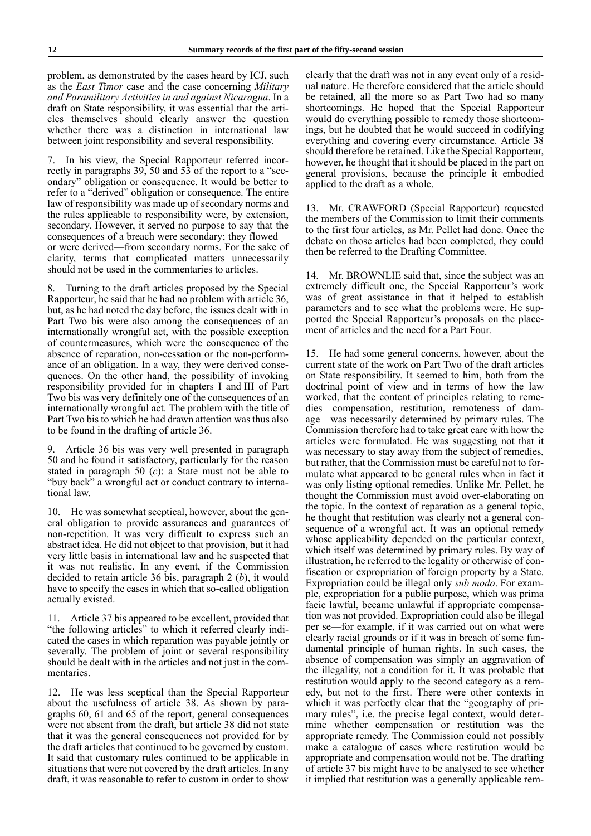problem, as demonstrated by the cases heard by ICJ, such as the *East Timor* case and the case concerning *Military and Paramilitary Activities in and against Nicaragua*. In a draft on State responsibility, it was essential that the articles themselves should clearly answer the question whether there was a distinction in international law between joint responsibility and several responsibility.

In his view, the Special Rapporteur referred incorrectly in paragraphs 39, 50 and 53 of the report to a "secondary" obligation or consequence. It would be better to refer to a "derived" obligation or consequence. The entire law of responsibility was made up of secondary norms and the rules applicable to responsibility were, by extension, secondary. However, it served no purpose to say that the consequences of a breach were secondary; they flowed or were derived—from secondary norms. For the sake of clarity, terms that complicated matters unnecessarily should not be used in the commentaries to articles.

Turning to the draft articles proposed by the Special Rapporteur, he said that he had no problem with article 36, but, as he had noted the day before, the issues dealt with in Part Two bis were also among the consequences of an internationally wrongful act, with the possible exception of countermeasures, which were the consequence of the absence of reparation, non-cessation or the non-performance of an obligation. In a way, they were derived consequences. On the other hand, the possibility of invoking responsibility provided for in chapters I and III of Part Two bis was very definitely one of the consequences of an internationally wrongful act. The problem with the title of Part Two bis to which he had drawn attention was thus also to be found in the drafting of article 36.

Article 36 bis was very well presented in paragraph 50 and he found it satisfactory, particularly for the reason stated in paragraph 50 (*c*): a State must not be able to "buy back" a wrongful act or conduct contrary to international law.

10. He was somewhat sceptical, however, about the general obligation to provide assurances and guarantees of non-repetition. It was very difficult to express such an abstract idea. He did not object to that provision, but it had very little basis in international law and he suspected that it was not realistic. In any event, if the Commission decided to retain article 36 bis, paragraph 2 (*b*), it would have to specify the cases in which that so-called obligation actually existed.

11. Article 37 bis appeared to be excellent, provided that "the following articles" to which it referred clearly indicated the cases in which reparation was payable jointly or severally. The problem of joint or several responsibility should be dealt with in the articles and not just in the commentaries.

12. He was less sceptical than the Special Rapporteur about the usefulness of article 38. As shown by paragraphs 60, 61 and 65 of the report, general consequences were not absent from the draft, but article 38 did not state that it was the general consequences not provided for by the draft articles that continued to be governed by custom. It said that customary rules continued to be applicable in situations that were not covered by the draft articles. In any draft, it was reasonable to refer to custom in order to show clearly that the draft was not in any event only of a residual nature. He therefore considered that the article should be retained, all the more so as Part Two had so many shortcomings. He hoped that the Special Rapporteur would do everything possible to remedy those shortcomings, but he doubted that he would succeed in codifying everything and covering every circumstance. Article 38 should therefore be retained. Like the Special Rapporteur, however, he thought that it should be placed in the part on general provisions, because the principle it embodied applied to the draft as a whole.

13. Mr. CRAWFORD (Special Rapporteur) requested the members of the Commission to limit their comments to the first four articles, as Mr. Pellet had done. Once the debate on those articles had been completed, they could then be referred to the Drafting Committee.

14. Mr. BROWNLIE said that, since the subject was an extremely difficult one, the Special Rapporteur's work was of great assistance in that it helped to establish parameters and to see what the problems were. He supported the Special Rapporteur's proposals on the placement of articles and the need for a Part Four.

15. He had some general concerns, however, about the current state of the work on Part Two of the draft articles on State responsibility. It seemed to him, both from the doctrinal point of view and in terms of how the law worked, that the content of principles relating to remedies—compensation, restitution, remoteness of damage—was necessarily determined by primary rules. The Commission therefore had to take great care with how the articles were formulated. He was suggesting not that it was necessary to stay away from the subject of remedies, but rather, that the Commission must be careful not to formulate what appeared to be general rules when in fact it was only listing optional remedies. Unlike Mr. Pellet, he thought the Commission must avoid over-elaborating on the topic. In the context of reparation as a general topic, he thought that restitution was clearly not a general consequence of a wrongful act. It was an optional remedy whose applicability depended on the particular context, which itself was determined by primary rules. By way of illustration, he referred to the legality or otherwise of confiscation or expropriation of foreign property by a State. Expropriation could be illegal only *sub modo*. For example, expropriation for a public purpose, which was prima facie lawful, became unlawful if appropriate compensation was not provided. Expropriation could also be illegal per se—for example, if it was carried out on what were clearly racial grounds or if it was in breach of some fundamental principle of human rights. In such cases, the absence of compensation was simply an aggravation of the illegality, not a condition for it. It was probable that restitution would apply to the second category as a remedy, but not to the first. There were other contexts in which it was perfectly clear that the "geography of primary rules", i.e. the precise legal context, would determine whether compensation or restitution was the appropriate remedy. The Commission could not possibly make a catalogue of cases where restitution would be appropriate and compensation would not be. The drafting of article 37 bis might have to be analysed to see whether it implied that restitution was a generally applicable rem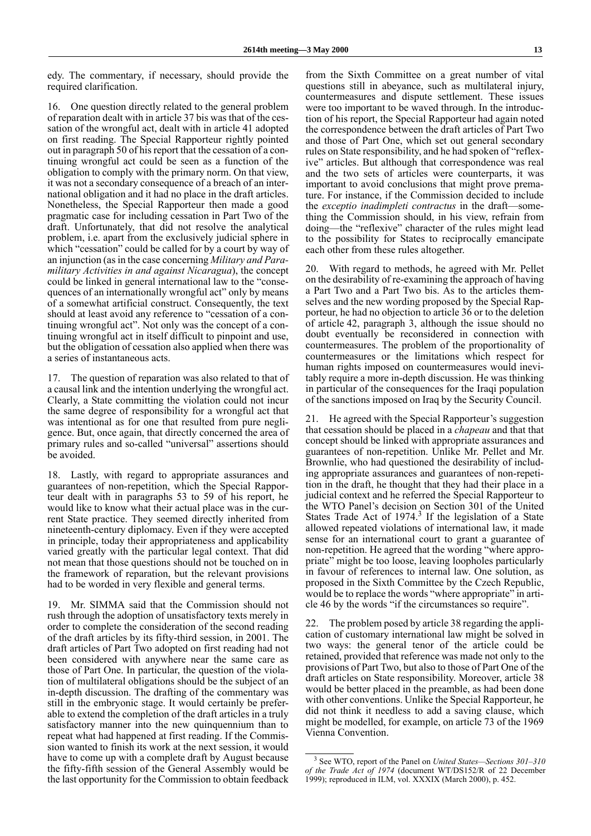edy. The commentary, if necessary, should provide the required clarification.

16. One question directly related to the general problem of reparation dealt with in article 37 bis was that of the cessation of the wrongful act, dealt with in article 41 adopted on first reading. The Special Rapporteur rightly pointed out in paragraph 50 of his report that the cessation of a continuing wrongful act could be seen as a function of the obligation to comply with the primary norm. On that view, it was not a secondary consequence of a breach of an international obligation and it had no place in the draft articles. Nonetheless, the Special Rapporteur then made a good pragmatic case for including cessation in Part Two of the draft. Unfortunately, that did not resolve the analytical problem, i.e. apart from the exclusively judicial sphere in which "cessation" could be called for by a court by way of an injunction (as in the case concerning *Military and Paramilitary Activities in and against Nicaragua*), the concept could be linked in general international law to the "consequences of an internationally wrongful act" only by means of a somewhat artificial construct. Consequently, the text should at least avoid any reference to "cessation of a continuing wrongful act". Not only was the concept of a continuing wrongful act in itself difficult to pinpoint and use, but the obligation of cessation also applied when there was a series of instantaneous acts.

17. The question of reparation was also related to that of a causal link and the intention underlying the wrongful act. Clearly, a State committing the violation could not incur the same degree of responsibility for a wrongful act that was intentional as for one that resulted from pure negligence. But, once again, that directly concerned the area of primary rules and so-called "universal" assertions should be avoided.

18. Lastly, with regard to appropriate assurances and guarantees of non-repetition, which the Special Rapporteur dealt with in paragraphs 53 to 59 of his report, he would like to know what their actual place was in the current State practice. They seemed directly inherited from nineteenth-century diplomacy. Even if they were accepted in principle, today their appropriateness and applicability varied greatly with the particular legal context. That did not mean that those questions should not be touched on in the framework of reparation, but the relevant provisions had to be worded in very flexible and general terms.

19. Mr. SIMMA said that the Commission should not rush through the adoption of unsatisfactory texts merely in order to complete the consideration of the second reading of the draft articles by its fifty-third session, in 2001. The draft articles of Part Two adopted on first reading had not been considered with anywhere near the same care as those of Part One. In particular, the question of the violation of multilateral obligations should be the subject of an in-depth discussion. The drafting of the commentary was still in the embryonic stage. It would certainly be preferable to extend the completion of the draft articles in a truly satisfactory manner into the new quinquennium than to repeat what had happened at first reading. If the Commission wanted to finish its work at the next session, it would have to come up with a complete draft by August because the fifty-fifth session of the General Assembly would be the last opportunity for the Commission to obtain feedback from the Sixth Committee on a great number of vital questions still in abeyance, such as multilateral injury, countermeasures and dispute settlement. These issues were too important to be waved through. In the introduction of his report, the Special Rapporteur had again noted the correspondence between the draft articles of Part Two and those of Part One, which set out general secondary rules on State responsibility, and he had spoken of "reflexive" articles. But although that correspondence was real and the two sets of articles were counterparts, it was important to avoid conclusions that might prove premature. For instance, if the Commission decided to include the *exceptio inadimpleti contractus* in the draft—something the Commission should, in his view, refrain from doing—the "reflexive" character of the rules might lead to the possibility for States to reciprocally emancipate each other from these rules altogether.

20. With regard to methods, he agreed with Mr. Pellet on the desirability of re-examining the approach of having a Part Two and a Part Two bis. As to the articles themselves and the new wording proposed by the Special Rapporteur, he had no objection to article 36 or to the deletion of article 42, paragraph 3, although the issue should no doubt eventually be reconsidered in connection with countermeasures. The problem of the proportionality of countermeasures or the limitations which respect for human rights imposed on countermeasures would inevitably require a more in-depth discussion. He was thinking in particular of the consequences for the Iraqi population of the sanctions imposed on Iraq by the Security Council.

21. He agreed with the Special Rapporteur's suggestion that cessation should be placed in a *chapeau* and that that concept should be linked with appropriate assurances and guarantees of non-repetition. Unlike Mr. Pellet and Mr. Brownlie, who had questioned the desirability of including appropriate assurances and guarantees of non-repetition in the draft, he thought that they had their place in a judicial context and he referred the Special Rapporteur to the WTO Panel's decision on Section 301 of the United States Trade Act of  $1974$ <sup>3</sup> If the legislation of a State allowed repeated violations of international law, it made sense for an international court to grant a guarantee of non-repetition. He agreed that the wording "where appropriate" might be too loose, leaving loopholes particularly in favour of references to internal law. One solution, as proposed in the Sixth Committee by the Czech Republic, would be to replace the words "where appropriate" in article 46 by the words "if the circumstances so require".

22. The problem posed by article 38 regarding the application of customary international law might be solved in two ways: the general tenor of the article could be retained, provided that reference was made not only to the provisions of Part Two, but also to those of Part One of the draft articles on State responsibility. Moreover, article 38 would be better placed in the preamble, as had been done with other conventions. Unlike the Special Rapporteur, he did not think it needless to add a saving clause, which might be modelled, for example, on article 73 of the 1969 Vienna Convention.

<sup>3</sup> See WTO, report of the Panel on *United States—Sections 301–310 of the Trade Act of 1974* (document WT/DS152/R of 22 December 1999); reproduced in ILM, vol. XXXIX (March 2000), p. 452.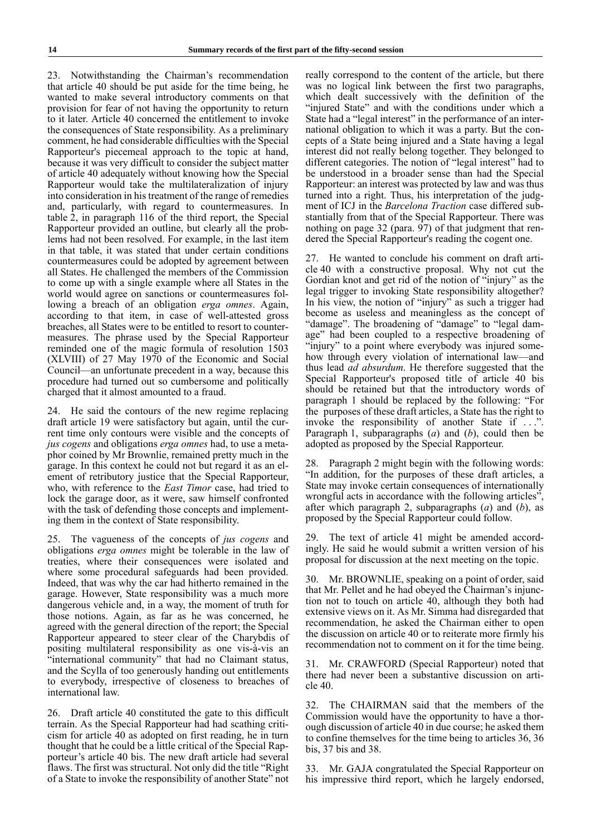23. Notwithstanding the Chairman's recommendation that article 40 should be put aside for the time being, he wanted to make several introductory comments on that provision for fear of not having the opportunity to return to it later. Article 40 concerned the entitlement to invoke the consequences of State responsibility. As a preliminary comment, he had considerable difficulties with the Special Rapporteur's piecemeal approach to the topic at hand, because it was very difficult to consider the subject matter of article 40 adequately without knowing how the Special Rapporteur would take the multilateralization of injury into consideration in his treatment of the range of remedies and, particularly, with regard to countermeasures. In table 2, in paragraph 116 of the third report, the Special Rapporteur provided an outline, but clearly all the problems had not been resolved. For example, in the last item in that table, it was stated that under certain conditions countermeasures could be adopted by agreement between all States. He challenged the members of the Commission to come up with a single example where all States in the world would agree on sanctions or countermeasures following a breach of an obligation *erga omnes*. Again, according to that item, in case of well-attested gross breaches, all States were to be entitled to resort to countermeasures. The phrase used by the Special Rapporteur reminded one of the magic formula of resolution 1503 (XLVIII) of 27 May 1970 of the Economic and Social Council—an unfortunate precedent in a way, because this procedure had turned out so cumbersome and politically charged that it almost amounted to a fraud.

24. He said the contours of the new regime replacing draft article 19 were satisfactory but again, until the current time only contours were visible and the concepts of *jus cogens* and obligations *erga omnes* had, to use a metaphor coined by Mr Brownlie, remained pretty much in the garage. In this context he could not but regard it as an element of retributory justice that the Special Rapporteur, who, with reference to the *East Timor* case, had tried to lock the garage door, as it were, saw himself confronted with the task of defending those concepts and implementing them in the context of State responsibility.

25. The vagueness of the concepts of *jus cogens* and obligations *erga omnes* might be tolerable in the law of treaties, where their consequences were isolated and where some procedural safeguards had been provided. Indeed, that was why the car had hitherto remained in the garage. However, State responsibility was a much more dangerous vehicle and, in a way, the moment of truth for those notions. Again, as far as he was concerned, he agreed with the general direction of the report; the Special Rapporteur appeared to steer clear of the Charybdis of positing multilateral responsibility as one vis-à-vis an "international community" that had no Claimant status, and the Scylla of too generously handing out entitlements to everybody, irrespective of closeness to breaches of international law.

26. Draft article 40 constituted the gate to this difficult terrain. As the Special Rapporteur had had scathing criticism for article 40 as adopted on first reading, he in turn thought that he could be a little critical of the Special Rapporteur's article 40 bis. The new draft article had several flaws. The first was structural. Not only did the title "Right of a State to invoke the responsibility of another State" not

really correspond to the content of the article, but there was no logical link between the first two paragraphs, which dealt successively with the definition of the "injured State" and with the conditions under which a State had a "legal interest" in the performance of an international obligation to which it was a party. But the concepts of a State being injured and a State having a legal interest did not really belong together. They belonged to different categories. The notion of "legal interest" had to be understood in a broader sense than had the Special Rapporteur: an interest was protected by law and was thus turned into a right. Thus, his interpretation of the judgment of ICJ in the *Barcelona Traction* case differed substantially from that of the Special Rapporteur. There was nothing on page 32 (para. 97) of that judgment that rendered the Special Rapporteur's reading the cogent one.

27. He wanted to conclude his comment on draft article 40 with a constructive proposal. Why not cut the Gordian knot and get rid of the notion of "injury" as the legal trigger to invoking State responsibility altogether? In his view, the notion of "injury" as such a trigger had become as useless and meaningless as the concept of "damage". The broadening of "damage" to "legal damage" had been coupled to a respective broadening of "injury" to a point where everybody was injured somehow through every violation of international law—and thus lead *ad absurdum*. He therefore suggested that the Special Rapporteur's proposed title of article 40 bis should be retained but that the introductory words of paragraph 1 should be replaced by the following: "For the purposes of these draft articles, a State has the right to invoke the responsibility of another State if . . .". Paragraph 1, subparagraphs (*a*) and (*b*), could then be adopted as proposed by the Special Rapporteur.

28. Paragraph 2 might begin with the following words: "In addition, for the purposes of these draft articles, a State may invoke certain consequences of internationally wrongful acts in accordance with the following articles", after which paragraph 2, subparagraphs (*a*) and (*b*), as proposed by the Special Rapporteur could follow.

29. The text of article 41 might be amended accordingly. He said he would submit a written version of his proposal for discussion at the next meeting on the topic.

30. Mr. BROWNLIE, speaking on a point of order, said that Mr. Pellet and he had obeyed the Chairman's injunction not to touch on article 40, although they both had extensive views on it. As Mr. Simma had disregarded that recommendation, he asked the Chairman either to open the discussion on article 40 or to reiterate more firmly his recommendation not to comment on it for the time being.

31. Mr. CRAWFORD (Special Rapporteur) noted that there had never been a substantive discussion on article 40.

32. The CHAIRMAN said that the members of the Commission would have the opportunity to have a thorough discussion of article 40 in due course; he asked them to confine themselves for the time being to articles 36, 36 bis, 37 bis and 38.

33. Mr. GAJA congratulated the Special Rapporteur on his impressive third report, which he largely endorsed,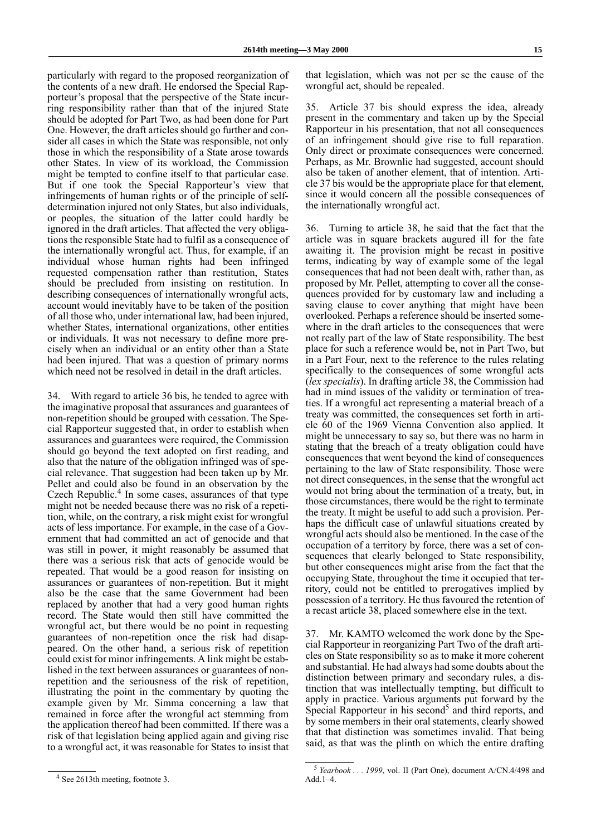particularly with regard to the proposed reorganization of the contents of a new draft. He endorsed the Special Rapporteur's proposal that the perspective of the State incurring responsibility rather than that of the injured State should be adopted for Part Two, as had been done for Part One. However, the draft articles should go further and consider all cases in which the State was responsible, not only those in which the responsibility of a State arose towards other States. In view of its workload, the Commission might be tempted to confine itself to that particular case. But if one took the Special Rapporteur's view that infringements of human rights or of the principle of selfdetermination injured not only States, but also individuals, or peoples, the situation of the latter could hardly be ignored in the draft articles. That affected the very obligations the responsible State had to fulfil as a consequence of the internationally wrongful act. Thus, for example, if an individual whose human rights had been infringed requested compensation rather than restitution, States should be precluded from insisting on restitution. In describing consequences of internationally wrongful acts, account would inevitably have to be taken of the position of all those who, under international law, had been injured, whether States, international organizations, other entities or individuals. It was not necessary to define more precisely when an individual or an entity other than a State had been injured. That was a question of primary norms which need not be resolved in detail in the draft articles.

34. With regard to article 36 bis, he tended to agree with the imaginative proposal that assurances and guarantees of non-repetition should be grouped with cessation. The Special Rapporteur suggested that, in order to establish when assurances and guarantees were required, the Commission should go beyond the text adopted on first reading, and also that the nature of the obligation infringed was of special relevance. That suggestion had been taken up by Mr. Pellet and could also be found in an observation by the Czech Republic.<sup>4</sup> In some cases, assurances of that type might not be needed because there was no risk of a repetition, while, on the contrary, a risk might exist for wrongful acts of less importance. For example, in the case of a Government that had committed an act of genocide and that was still in power, it might reasonably be assumed that there was a serious risk that acts of genocide would be repeated. That would be a good reason for insisting on assurances or guarantees of non-repetition. But it might also be the case that the same Government had been replaced by another that had a very good human rights record. The State would then still have committed the wrongful act, but there would be no point in requesting guarantees of non-repetition once the risk had disappeared. On the other hand, a serious risk of repetition could exist for minor infringements. A link might be established in the text between assurances or guarantees of nonrepetition and the seriousness of the risk of repetition, illustrating the point in the commentary by quoting the example given by Mr. Simma concerning a law that remained in force after the wrongful act stemming from the application thereof had been committed. If there was a risk of that legislation being applied again and giving rise to a wrongful act, it was reasonable for States to insist that

that legislation, which was not per se the cause of the wrongful act, should be repealed.

35. Article 37 bis should express the idea, already present in the commentary and taken up by the Special Rapporteur in his presentation, that not all consequences of an infringement should give rise to full reparation. Only direct or proximate consequences were concerned. Perhaps, as Mr. Brownlie had suggested, account should also be taken of another element, that of intention. Article 37 bis would be the appropriate place for that element, since it would concern all the possible consequences of the internationally wrongful act.

36. Turning to article 38, he said that the fact that the article was in square brackets augured ill for the fate awaiting it. The provision might be recast in positive terms, indicating by way of example some of the legal consequences that had not been dealt with, rather than, as proposed by Mr. Pellet, attempting to cover all the consequences provided for by customary law and including a saving clause to cover anything that might have been overlooked. Perhaps a reference should be inserted somewhere in the draft articles to the consequences that were not really part of the law of State responsibility. The best place for such a reference would be, not in Part Two, but in a Part Four, next to the reference to the rules relating specifically to the consequences of some wrongful acts (*lex specialis*). In drafting article 38, the Commission had had in mind issues of the validity or termination of treaties. If a wrongful act representing a material breach of a treaty was committed, the consequences set forth in article 60 of the 1969 Vienna Convention also applied. It might be unnecessary to say so, but there was no harm in stating that the breach of a treaty obligation could have consequences that went beyond the kind of consequences pertaining to the law of State responsibility. Those were not direct consequences, in the sense that the wrongful act would not bring about the termination of a treaty, but, in those circumstances, there would be the right to terminate the treaty. It might be useful to add such a provision. Perhaps the difficult case of unlawful situations created by wrongful acts should also be mentioned. In the case of the occupation of a territory by force, there was a set of consequences that clearly belonged to State responsibility, but other consequences might arise from the fact that the occupying State, throughout the time it occupied that territory, could not be entitled to prerogatives implied by possession of a territory. He thus favoured the retention of a recast article 38, placed somewhere else in the text.

37. Mr. KAMTO welcomed the work done by the Special Rapporteur in reorganizing Part Two of the draft articles on State responsibility so as to make it more coherent and substantial. He had always had some doubts about the distinction between primary and secondary rules, a distinction that was intellectually tempting, but difficult to apply in practice. Various arguments put forward by the Special Rapporteur in his second<sup>5</sup> and third reports, and by some members in their oral statements, clearly showed that that distinction was sometimes invalid. That being said, as that was the plinth on which the entire drafting

<sup>4</sup> See 2613th meeting, footnote 3.

<sup>5</sup> *Yearbook . . . 1999*, vol. II (Part One), document A/CN.4/498 and Add.1–4.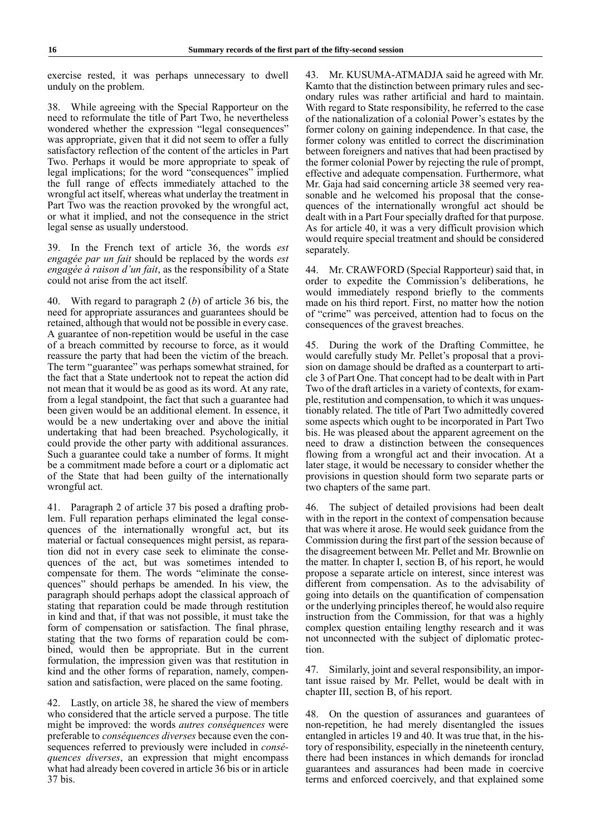exercise rested, it was perhaps unnecessary to dwell unduly on the problem.

38. While agreeing with the Special Rapporteur on the need to reformulate the title of Part Two, he nevertheless wondered whether the expression "legal consequences" was appropriate, given that it did not seem to offer a fully satisfactory reflection of the content of the articles in Part Two. Perhaps it would be more appropriate to speak of legal implications; for the word "consequences" implied the full range of effects immediately attached to the wrongful act itself, whereas what underlay the treatment in Part Two was the reaction provoked by the wrongful act, or what it implied, and not the consequence in the strict legal sense as usually understood.

39. In the French text of article 36, the words *est engagée par un fait* should be replaced by the words *est engagée à raison d'un fait*, as the responsibility of a State could not arise from the act itself.

40. With regard to paragraph 2 (*b*) of article 36 bis, the need for appropriate assurances and guarantees should be retained, although that would not be possible in every case. A guarantee of non-repetition would be useful in the case of a breach committed by recourse to force, as it would reassure the party that had been the victim of the breach. The term "guarantee" was perhaps somewhat strained, for the fact that a State undertook not to repeat the action did not mean that it would be as good as its word. At any rate, from a legal standpoint, the fact that such a guarantee had been given would be an additional element. In essence, it would be a new undertaking over and above the initial undertaking that had been breached. Psychologically, it could provide the other party with additional assurances. Such a guarantee could take a number of forms. It might be a commitment made before a court or a diplomatic act of the State that had been guilty of the internationally wrongful act.

41. Paragraph 2 of article 37 bis posed a drafting problem. Full reparation perhaps eliminated the legal consequences of the internationally wrongful act, but its material or factual consequences might persist, as reparation did not in every case seek to eliminate the consequences of the act, but was sometimes intended to compensate for them. The words "eliminate the consequences" should perhaps be amended. In his view, the paragraph should perhaps adopt the classical approach of stating that reparation could be made through restitution in kind and that, if that was not possible, it must take the form of compensation or satisfaction. The final phrase, stating that the two forms of reparation could be combined, would then be appropriate. But in the current formulation, the impression given was that restitution in kind and the other forms of reparation, namely, compensation and satisfaction, were placed on the same footing.

42. Lastly, on article 38, he shared the view of members who considered that the article served a purpose. The title might be improved: the words *autres conséquences* were preferable to *conséquences diverses* because even the consequences referred to previously were included in *conséquences diverses*, an expression that might encompass what had already been covered in article 36 bis or in article 37 bis.

43. Mr. KUSUMA-ATMADJA said he agreed with Mr. Kamto that the distinction between primary rules and secondary rules was rather artificial and hard to maintain. With regard to State responsibility, he referred to the case of the nationalization of a colonial Power's estates by the former colony on gaining independence. In that case, the former colony was entitled to correct the discrimination between foreigners and natives that had been practised by the former colonial Power by rejecting the rule of prompt, effective and adequate compensation. Furthermore, what Mr. Gaja had said concerning article 38 seemed very reasonable and he welcomed his proposal that the consequences of the internationally wrongful act should be dealt with in a Part Four specially drafted for that purpose. As for article 40, it was a very difficult provision which would require special treatment and should be considered separately.

44. Mr. CRAWFORD (Special Rapporteur) said that, in order to expedite the Commission's deliberations, he would immediately respond briefly to the comments made on his third report. First, no matter how the notion of "crime" was perceived, attention had to focus on the consequences of the gravest breaches.

45. During the work of the Drafting Committee, he would carefully study Mr. Pellet's proposal that a provision on damage should be drafted as a counterpart to article 3 of Part One. That concept had to be dealt with in Part Two of the draft articles in a variety of contexts, for example, restitution and compensation, to which it was unquestionably related. The title of Part Two admittedly covered some aspects which ought to be incorporated in Part Two bis. He was pleased about the apparent agreement on the need to draw a distinction between the consequences flowing from a wrongful act and their invocation. At a later stage, it would be necessary to consider whether the provisions in question should form two separate parts or two chapters of the same part.

46. The subject of detailed provisions had been dealt with in the report in the context of compensation because that was where it arose. He would seek guidance from the Commission during the first part of the session because of the disagreement between Mr. Pellet and Mr. Brownlie on the matter. In chapter I, section B, of his report, he would propose a separate article on interest, since interest was different from compensation. As to the advisability of going into details on the quantification of compensation or the underlying principles thereof, he would also require instruction from the Commission, for that was a highly complex question entailing lengthy research and it was not unconnected with the subject of diplomatic protection.

47. Similarly, joint and several responsibility, an important issue raised by Mr. Pellet, would be dealt with in chapter III, section B, of his report.

48. On the question of assurances and guarantees of non-repetition, he had merely disentangled the issues entangled in articles 19 and 40. It was true that, in the history of responsibility, especially in the nineteenth century, there had been instances in which demands for ironclad guarantees and assurances had been made in coercive terms and enforced coercively, and that explained some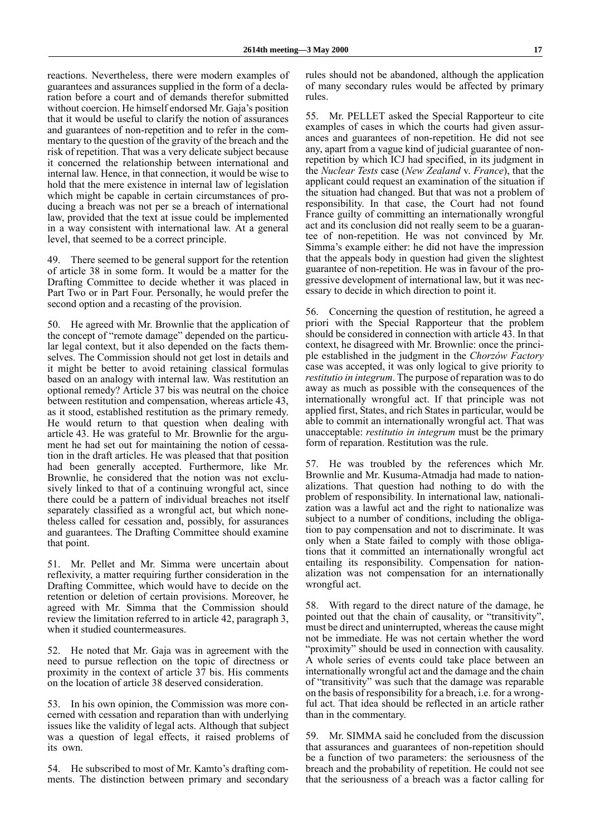reactions. Nevertheless, there were modern examples of guarantees and assurances supplied in the form of a declaration before a court and of demands therefor submitted without coercion. He himself endorsed Mr. Gaja's position that it would be useful to clarify the notion of assurances and guarantees of non-repetition and to refer in the commentary to the question of the gravity of the breach and the risk of repetition. That was a very delicate subject because it concerned the relationship between international and internal law. Hence, in that connection, it would be wise to hold that the mere existence in internal law of legislation which might be capable in certain circumstances of producing a breach was not per se a breach of international law, provided that the text at issue could be implemented in a way consistent with international law. At a general level, that seemed to be a correct principle.

49. There seemed to be general support for the retention of article 38 in some form. It would be a matter for the Drafting Committee to decide whether it was placed in Part Two or in Part Four. Personally, he would prefer the second option and a recasting of the provision.

50. He agreed with Mr. Brownlie that the application of the concept of "remote damage" depended on the particular legal context, but it also depended on the facts themselves. The Commission should not get lost in details and it might be better to avoid retaining classical formulas based on an analogy with internal law. Was restitution an optional remedy? Article 37 bis was neutral on the choice between restitution and compensation, whereas article 43, as it stood, established restitution as the primary remedy. He would return to that question when dealing with article 43. He was grateful to Mr. Brownlie for the argument he had set out for maintaining the notion of cessation in the draft articles. He was pleased that that position had been generally accepted. Furthermore, like Mr. Brownlie, he considered that the notion was not exclusively linked to that of a continuing wrongful act, since there could be a pattern of individual breaches not itself separately classified as a wrongful act, but which nonetheless called for cessation and, possibly, for assurances and guarantees. The Drafting Committee should examine that point.

51. Mr. Pellet and Mr. Simma were uncertain about reflexivity, a matter requiring further consideration in the Drafting Committee, which would have to decide on the retention or deletion of certain provisions. Moreover, he agreed with Mr. Simma that the Commission should review the limitation referred to in article 42, paragraph 3, when it studied countermeasures.

52. He noted that Mr. Gaja was in agreement with the need to pursue reflection on the topic of directness or proximity in the context of article 37 bis. His comments on the location of article 38 deserved consideration.

53. In his own opinion, the Commission was more concerned with cessation and reparation than with underlying issues like the validity of legal acts. Although that subject was a question of legal effects, it raised problems of its own.

54. He subscribed to most of Mr. Kamto's drafting comments. The distinction between primary and secondary rules should not be abandoned, although the application of many secondary rules would be affected by primary rules.

55. Mr. PELLET asked the Special Rapporteur to cite examples of cases in which the courts had given assurances and guarantees of non-repetition. He did not see any, apart from a vague kind of judicial guarantee of nonrepetition by which ICJ had specified, in its judgment in the *Nuclear Tests* case (*New Zealand* v. *France*), that the applicant could request an examination of the situation if the situation had changed. But that was not a problem of responsibility. In that case, the Court had not found France guilty of committing an internationally wrongful act and its conclusion did not really seem to be a guarantee of non-repetition. He was not convinced by Mr. Simma's example either: he did not have the impression that the appeals body in question had given the slightest guarantee of non-repetition. He was in favour of the progressive development of international law, but it was necessary to decide in which direction to point it.

56. Concerning the question of restitution, he agreed a priori with the Special Rapporteur that the problem should be considered in connection with article 43. In that context, he disagreed with Mr. Brownlie: once the principle established in the judgment in the *Chorzów Factory* case was accepted, it was only logical to give priority to *restitutio in integrum*. The purpose of reparation was to do away as much as possible with the consequences of the internationally wrongful act. If that principle was not applied first, States, and rich States in particular, would be able to commit an internationally wrongful act. That was unacceptable: *restitutio in integrum* must be the primary form of reparation. Restitution was the rule.

57. He was troubled by the references which Mr. Brownlie and Mr. Kusuma-Atmadja had made to nationalizations. That question had nothing to do with the problem of responsibility. In international law, nationalization was a lawful act and the right to nationalize was subject to a number of conditions, including the obligation to pay compensation and not to discriminate. It was only when a State failed to comply with those obligations that it committed an internationally wrongful act entailing its responsibility. Compensation for nationalization was not compensation for an internationally wrongful act.

58. With regard to the direct nature of the damage, he pointed out that the chain of causality, or "transitivity", must be direct and uninterrupted, whereas the cause might not be immediate. He was not certain whether the word "proximity" should be used in connection with causality. A whole series of events could take place between an internationally wrongful act and the damage and the chain of "transitivity" was such that the damage was reparable on the basis of responsibility for a breach, i.e. for a wrongful act. That idea should be reflected in an article rather than in the commentary.

59. Mr. SIMMA said he concluded from the discussion that assurances and guarantees of non-repetition should be a function of two parameters: the seriousness of the breach and the probability of repetition. He could not see that the seriousness of a breach was a factor calling for